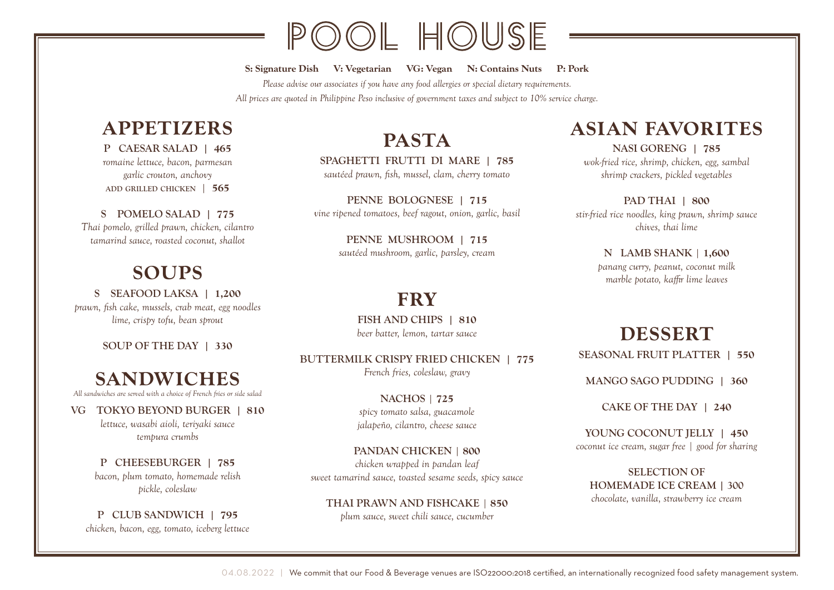# OOL HOUSE

S: Signature Dish V: Vegetarian VG: Vegan N: Contains Nuts P: Pork *Please advise our associates if you have any food allergies or special dietary requirements. All prices are quoted in Philippine Peso inclusive of government taxes and subject to 10% service charge.*

#### APPETIZERS

P CAESAR SALAD | 465 *romaine lettuce, bacon, parmesan garlic crouton, anchovy* add grilled chicken | 565

S POMELO SALAD | 775 *Thai pomelo, grilled prawn, chicken, cilantro tamarind sauce, roasted coconut, shallot*

#### SOUPS

S SEAFOOD LAKSA | 1,200 *prawn, fish cake, mussels, crab meat, egg noodles lime, crispy tofu, bean sprout*

SOUP OF THE DAY | 330

#### SANDWICHES *All sandwiches are served with a choice of French fries or side salad*

VG TOKYO BEYOND BURGER | 810 *lettuce, wasabi aioli, teriyaki sauce tempura crumbs*

#### P CHEESEBURGER | 785 *bacon, plum tomato, homemade relish pickle, coleslaw*

P CLUB SANDWICH | 795 *chicken, bacon, egg, tomato, iceberg lettuce*

### PASTA

SPAGHETTI FRUTTI DI MARE | 785 *sautéed prawn, fish, mussel, clam, cherry tomato*

PENNE BOLOGNESE | 715 *vine ripened tomatoes, beef ragout, onion, garlic, basil*

> PENNE MUSHROOM | 715 *sautéed mushroom, garlic, parsley, cream*

#### **FRY**

FISH AND CHIPS | 810 *beer batter, lemon, tartar sauce*

BUTTERMILK CRISPY FRIED CHICKEN | 775 *French fries, coleslaw, gravy*

> NACHOS | 725 *spicy tomato salsa, guacamole jalapeño, cilantro, cheese sauce*

PANDAN CHICKEN | 800 *chicken wrapped in pandan leaf sweet tamarind sauce, toasted sesame seeds, spicy sauce*

THAI PRAWN AND FISHCAKE | 850 *plum sauce, sweet chili sauce, cucumber*

#### ASIAN FAVORITES

NASI GORENG | 785 *wok-fried rice, shrimp, chicken, egg, sambal shrimp crackers, pickled vegetables*

PAD THAI | 800 *stir-fried rice noodles, king prawn, shrimp sauce chives, thai lime*

> N LAMB SHANK | 1,600 *panang curry, peanut, coconut milk marble potato, kaffir lime leaves*

#### DESSERT

SEASONAL FRUIT PLATTER | 550

MANGO SAGO PUDDING | 360

CAKE OF THE DAY | 240

YOUNG COCONUT JELLY | 450 *coconut ice cream, sugar free | good for sharing*

SELECTION OF HOMEMADE ICE CREAM | 300 *chocolate, vanilla, strawberry ice cream*